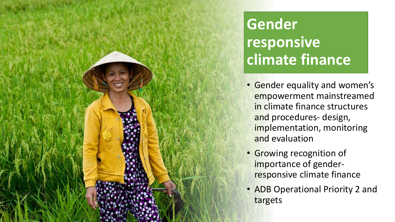## **Gender responsive climate finance**

- Gender equality and women's empowerment mainstreamed in climate finance structures and procedures- design, implementation, monitoring and evaluation
- Growing recognition of importance of genderresponsive climate finance

INTERNAL. This information is accessible to ADB Management and staff. It may be shared outside ADB with appropriate permission.

• ADB Operational Priority 2 and targets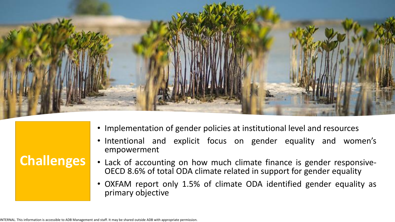

|  |  |  |  | • Implementation of gender policies at institutional level and resources |
|--|--|--|--|--------------------------------------------------------------------------|
|--|--|--|--|--------------------------------------------------------------------------|

- Intentional and explicit focus on gender equality and women's empowerment
- Lack of accounting on how much climate finance is gender responsive-OECD 8.6% of total ODA climate related in support for gender equality
- OXFAM report only 1.5% of climate ODA identified gender equality as primary objective

**Challenges**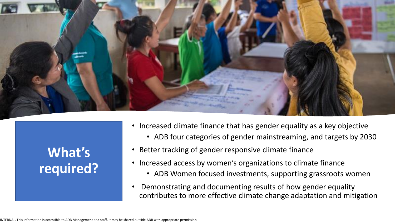

## **What's required?**

- Increased climate finance that has gender equality as a key objective
	- ADB four categories of gender mainstreaming, and targets by 2030
- Better tracking of gender responsive climate finance
- Increased access by women's organizations to climate finance
	- ADB Women focused investments, supporting grassroots women
- Demonstrating and documenting results of how gender equality contributes to more effective climate change adaptation and mitigation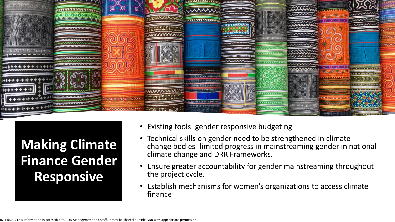

**Making Climate Finance Gender Responsive** 

- Existing tools: gender responsive budgeting
- Technical skills on gender need to be strengthened in climate change bodies- limited progress in mainstreaming gender in national climate change and DRR Frameworks.
- Ensure greater accountability for gender mainstreaming throughout the project cycle.
- Establish mechanisms for women's organizations to access climate finance